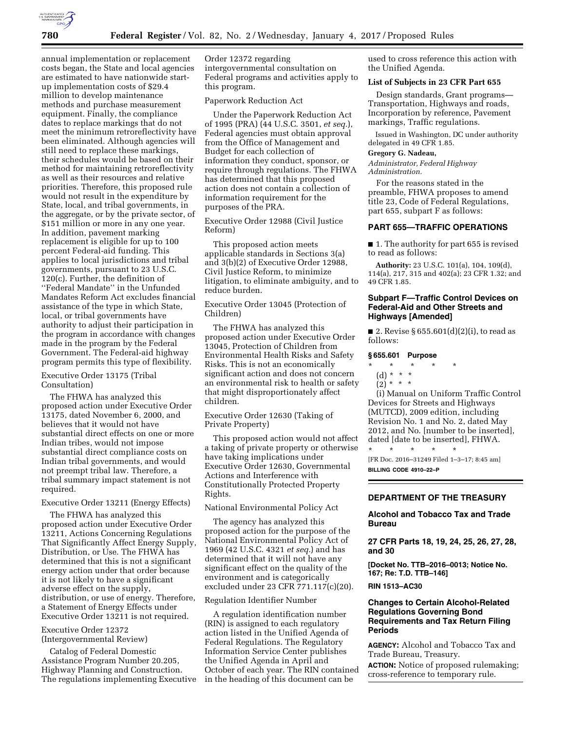

annual implementation or replacement costs began, the State and local agencies are estimated to have nationwide startup implementation costs of \$29.4 million to develop maintenance methods and purchase measurement equipment. Finally, the compliance dates to replace markings that do not meet the minimum retroreflectivity have been eliminated. Although agencies will still need to replace these markings, their schedules would be based on their method for maintaining retroreflectivity as well as their resources and relative priorities. Therefore, this proposed rule would not result in the expenditure by State, local, and tribal governments, in the aggregate, or by the private sector, of \$151 million or more in any one year. In addition, pavement marking replacement is eligible for up to 100 percent Federal-aid funding. This applies to local jurisdictions and tribal governments, pursuant to 23 U.S.C. 120(c). Further, the definition of ''Federal Mandate'' in the Unfunded Mandates Reform Act excludes financial assistance of the type in which State, local, or tribal governments have authority to adjust their participation in the program in accordance with changes made in the program by the Federal Government. The Federal-aid highway program permits this type of flexibility.

# Executive Order 13175 (Tribal Consultation)

The FHWA has analyzed this proposed action under Executive Order 13175, dated November 6, 2000, and believes that it would not have substantial direct effects on one or more Indian tribes, would not impose substantial direct compliance costs on Indian tribal governments, and would not preempt tribal law. Therefore, a tribal summary impact statement is not required.

# Executive Order 13211 (Energy Effects)

The FHWA has analyzed this proposed action under Executive Order 13211, Actions Concerning Regulations That Significantly Affect Energy Supply, Distribution, or Use. The FHWA has determined that this is not a significant energy action under that order because it is not likely to have a significant adverse effect on the supply, distribution, or use of energy. Therefore, a Statement of Energy Effects under Executive Order 13211 is not required.

# Executive Order 12372 (Intergovernmental Review)

Catalog of Federal Domestic Assistance Program Number 20.205, Highway Planning and Construction. The regulations implementing Executive Order 12372 regarding intergovernmental consultation on Federal programs and activities apply to this program.

# Paperwork Reduction Act

Under the Paperwork Reduction Act of 1995 (PRA) (44 U.S.C. 3501, *et seq.*), Federal agencies must obtain approval from the Office of Management and Budget for each collection of information they conduct, sponsor, or require through regulations. The FHWA has determined that this proposed action does not contain a collection of information requirement for the purposes of the PRA.

Executive Order 12988 (Civil Justice Reform)

This proposed action meets applicable standards in Sections 3(a) and 3(b)(2) of Executive Order 12988, Civil Justice Reform, to minimize litigation, to eliminate ambiguity, and to reduce burden.

Executive Order 13045 (Protection of Children)

The FHWA has analyzed this proposed action under Executive Order 13045, Protection of Children from Environmental Health Risks and Safety Risks. This is not an economically significant action and does not concern an environmental risk to health or safety that might disproportionately affect children.

Executive Order 12630 (Taking of Private Property)

This proposed action would not affect a taking of private property or otherwise have taking implications under Executive Order 12630, Governmental Actions and Interference with Constitutionally Protected Property Rights.

National Environmental Policy Act

The agency has analyzed this proposed action for the purpose of the National Environmental Policy Act of 1969 (42 U.S.C. 4321 *et seq.*) and has determined that it will not have any significant effect on the quality of the environment and is categorically excluded under 23 CFR 771.117(c)(20).

#### Regulation Identifier Number

A regulation identification number (RIN) is assigned to each regulatory action listed in the Unified Agenda of Federal Regulations. The Regulatory Information Service Center publishes the Unified Agenda in April and October of each year. The RIN contained in the heading of this document can be

used to cross reference this action with the Unified Agenda.

#### **List of Subjects in 23 CFR Part 655**

Design standards, Grant programs— Transportation, Highways and roads, Incorporation by reference, Pavement markings, Traffic regulations.

Issued in Washington, DC under authority delegated in 49 CFR 1.85.

#### **Gregory G. Nadeau,**

*Administrator, Federal Highway Administration.* 

For the reasons stated in the preamble, FHWA proposes to amend title 23, Code of Federal Regulations, part 655, subpart F as follows:

# **PART 655—TRAFFIC OPERATIONS**

■ 1. The authority for part 655 is revised to read as follows:

**Authority:** 23 U.S.C. 101(a), 104, 109(d), 114(a), 217, 315 and 402(a); 23 CFR 1.32; and 49 CFR 1.85.

# **Subpart F—Traffic Control Devices on Federal-Aid and Other Streets and Highways [Amended]**

■ 2. Revise § 655.601(d)(2)(i), to read as follows:

#### **§ 655.601 Purpose**

# \* \* \* \* \*

- (d) \* \* \*  $(2) * * * *$
- (i) Manual on Uniform Traffic Control Devices for Streets and Highways (MUTCD), 2009 edition, including Revision No. 1 and No. 2, dated May 2012, and No. [number to be inserted], dated [date to be inserted], FHWA.

\* \* \* \* \* [FR Doc. 2016–31249 Filed 1–3–17; 8:45 am] **BILLING CODE 4910–22–P** 

# **DEPARTMENT OF THE TREASURY**

## **Alcohol and Tobacco Tax and Trade Bureau**

# **27 CFR Parts 18, 19, 24, 25, 26, 27, 28, and 30**

**[Docket No. TTB–2016–0013; Notice No. 167; Re: T.D. TTB–146]** 

#### **RIN 1513–AC30**

# **Changes to Certain Alcohol-Related Regulations Governing Bond Requirements and Tax Return Filing Periods**

**AGENCY:** Alcohol and Tobacco Tax and Trade Bureau, Treasury.

**ACTION:** Notice of proposed rulemaking; cross-reference to temporary rule.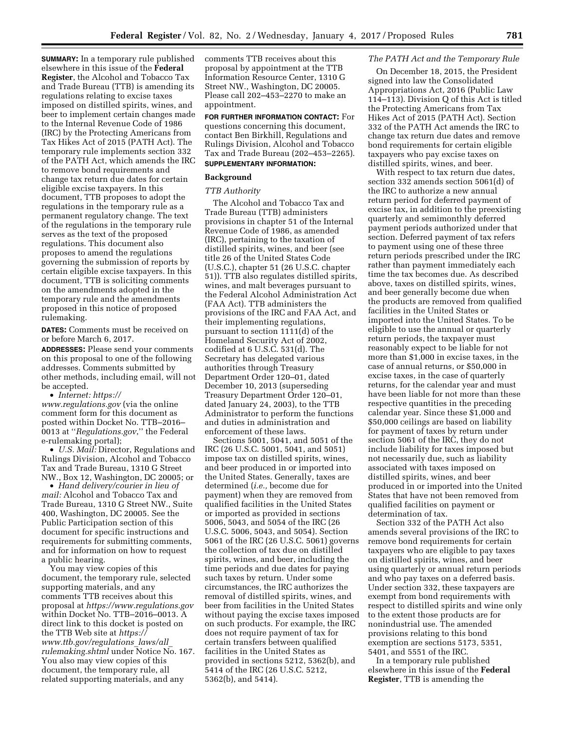**SUMMARY:** In a temporary rule published elsewhere in this issue of the **Federal Register**, the Alcohol and Tobacco Tax and Trade Bureau (TTB) is amending its regulations relating to excise taxes imposed on distilled spirits, wines, and beer to implement certain changes made to the Internal Revenue Code of 1986 (IRC) by the Protecting Americans from Tax Hikes Act of 2015 (PATH Act). The temporary rule implements section 332 of the PATH Act, which amends the IRC to remove bond requirements and change tax return due dates for certain eligible excise taxpayers. In this document, TTB proposes to adopt the regulations in the temporary rule as a permanent regulatory change. The text of the regulations in the temporary rule serves as the text of the proposed regulations. This document also proposes to amend the regulations governing the submission of reports by certain eligible excise taxpayers. In this document, TTB is soliciting comments on the amendments adopted in the temporary rule and the amendments proposed in this notice of proposed rulemaking.

**DATES:** Comments must be received on or before March 6, 2017.

**ADDRESSES:** Please send your comments on this proposal to one of the following addresses. Comments submitted by other methods, including email, will not be accepted.

• *Internet: [https://](https://www.regulations.gov) [www.regulations.gov](https://www.regulations.gov)* (via the online comment form for this document as posted within Docket No. TTB–2016– 0013 at ''*Regulations.gov*,'' the Federal e-rulemaking portal);

• *U.S. Mail:* Director, Regulations and Rulings Division, Alcohol and Tobacco Tax and Trade Bureau, 1310 G Street NW., Box 12, Washington, DC 20005; or

• *Hand delivery/courier in lieu of mail:* Alcohol and Tobacco Tax and Trade Bureau, 1310 G Street NW., Suite 400, Washington, DC 20005. See the Public Participation section of this document for specific instructions and requirements for submitting comments, and for information on how to request a public hearing.

You may view copies of this document, the temporary rule, selected supporting materials, and any comments TTB receives about this proposal at *<https://www.regulations.gov>* within Docket No. TTB–2016–0013. A direct link to this docket is posted on the TTB Web site at *[https://](https://www.ttb.gov/regulations_laws/all_rulemaking.shtml) [www.ttb.gov/regulations](https://www.ttb.gov/regulations_laws/all_rulemaking.shtml)*\_*laws/all*\_ *[rulemaking.shtml](https://www.ttb.gov/regulations_laws/all_rulemaking.shtml)* under Notice No. 167. You also may view copies of this document, the temporary rule, all related supporting materials, and any

comments TTB receives about this proposal by appointment at the TTB Information Resource Center, 1310 G Street NW., Washington, DC 20005. Please call 202–453–2270 to make an appointment.

**FOR FURTHER INFORMATION CONTACT:** For questions concerning this document, contact Ben Birkhill, Regulations and Rulings Division, Alcohol and Tobacco Tax and Trade Bureau (202–453–2265). **SUPPLEMENTARY INFORMATION:** 

# **Background**

# *TTB Authority*

The Alcohol and Tobacco Tax and Trade Bureau (TTB) administers provisions in chapter 51 of the Internal Revenue Code of 1986, as amended (IRC), pertaining to the taxation of distilled spirits, wines, and beer (see title 26 of the United States Code (U.S.C.), chapter 51 (26 U.S.C. chapter 51)). TTB also regulates distilled spirits, wines, and malt beverages pursuant to the Federal Alcohol Administration Act (FAA Act). TTB administers the provisions of the IRC and FAA Act, and their implementing regulations, pursuant to section 1111(d) of the Homeland Security Act of 2002, codified at 6 U.S.C. 531(d). The Secretary has delegated various authorities through Treasury Department Order 120–01, dated December 10, 2013 (superseding Treasury Department Order 120–01, dated January 24, 2003), to the TTB Administrator to perform the functions and duties in administration and enforcement of these laws.

Sections 5001, 5041, and 5051 of the IRC (26 U.S.C. 5001, 5041, and 5051) impose tax on distilled spirits, wines, and beer produced in or imported into the United States. Generally, taxes are determined (*i.e.,* become due for payment) when they are removed from qualified facilities in the United States or imported as provided in sections 5006, 5043, and 5054 of the IRC (26 U.S.C. 5006, 5043, and 5054). Section 5061 of the IRC (26 U.S.C. 5061) governs the collection of tax due on distilled spirits, wines, and beer, including the time periods and due dates for paying such taxes by return. Under some circumstances, the IRC authorizes the removal of distilled spirits, wines, and beer from facilities in the United States without paying the excise taxes imposed on such products. For example, the IRC does not require payment of tax for certain transfers between qualified facilities in the United States as provided in sections 5212, 5362(b), and 5414 of the IRC (26 U.S.C. 5212, 5362(b), and 5414).

# *The PATH Act and the Temporary Rule*

On December 18, 2015, the President signed into law the Consolidated Appropriations Act, 2016 (Public Law 114–113). Division Q of this Act is titled the Protecting Americans from Tax Hikes Act of 2015 (PATH Act). Section 332 of the PATH Act amends the IRC to change tax return due dates and remove bond requirements for certain eligible taxpayers who pay excise taxes on distilled spirits, wines, and beer.

With respect to tax return due dates, section 332 amends section 5061(d) of the IRC to authorize a new annual return period for deferred payment of excise tax, in addition to the preexisting quarterly and semimonthly deferred payment periods authorized under that section. Deferred payment of tax refers to payment using one of these three return periods prescribed under the IRC rather than payment immediately each time the tax becomes due. As described above, taxes on distilled spirits, wines, and beer generally become due when the products are removed from qualified facilities in the United States or imported into the United States. To be eligible to use the annual or quarterly return periods, the taxpayer must reasonably expect to be liable for not more than \$1,000 in excise taxes, in the case of annual returns, or \$50,000 in excise taxes, in the case of quarterly returns, for the calendar year and must have been liable for not more than these respective quantities in the preceding calendar year. Since these \$1,000 and \$50,000 ceilings are based on liability for payment of taxes by return under section 5061 of the IRC, they do not include liability for taxes imposed but not necessarily due, such as liability associated with taxes imposed on distilled spirits, wines, and beer produced in or imported into the United States that have not been removed from qualified facilities on payment or determination of tax.

Section 332 of the PATH Act also amends several provisions of the IRC to remove bond requirements for certain taxpayers who are eligible to pay taxes on distilled spirits, wines, and beer using quarterly or annual return periods and who pay taxes on a deferred basis. Under section 332, these taxpayers are exempt from bond requirements with respect to distilled spirits and wine only to the extent those products are for nonindustrial use. The amended provisions relating to this bond exemption are sections 5173, 5351, 5401, and 5551 of the IRC.

In a temporary rule published elsewhere in this issue of the **Federal Register**, TTB is amending the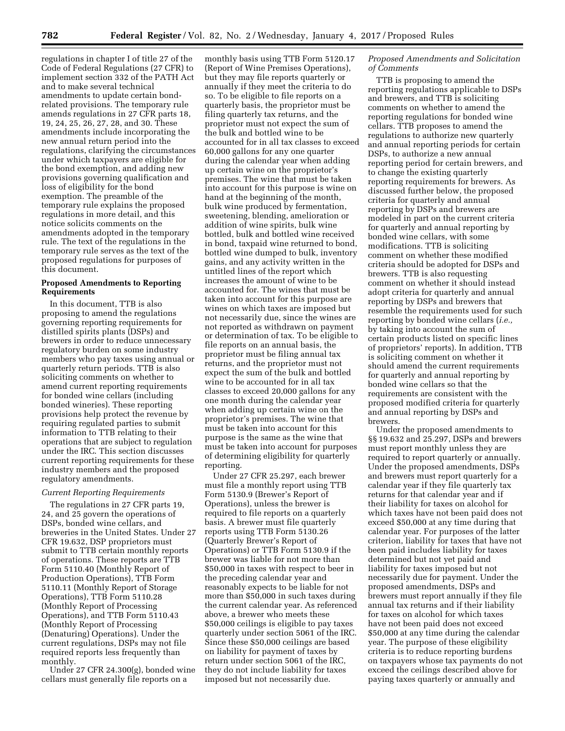regulations in chapter I of title 27 of the Code of Federal Regulations (27 CFR) to implement section 332 of the PATH Act and to make several technical amendments to update certain bondrelated provisions. The temporary rule amends regulations in 27 CFR parts 18, 19, 24, 25, 26, 27, 28, and 30. These amendments include incorporating the new annual return period into the regulations, clarifying the circumstances under which taxpayers are eligible for the bond exemption, and adding new provisions governing qualification and loss of eligibility for the bond exemption. The preamble of the temporary rule explains the proposed regulations in more detail, and this notice solicits comments on the amendments adopted in the temporary rule. The text of the regulations in the temporary rule serves as the text of the proposed regulations for purposes of this document.

# **Proposed Amendments to Reporting Requirements**

In this document, TTB is also proposing to amend the regulations governing reporting requirements for distilled spirits plants (DSPs) and brewers in order to reduce unnecessary regulatory burden on some industry members who pay taxes using annual or quarterly return periods. TTB is also soliciting comments on whether to amend current reporting requirements for bonded wine cellars (including bonded wineries). These reporting provisions help protect the revenue by requiring regulated parties to submit information to TTB relating to their operations that are subject to regulation under the IRC. This section discusses current reporting requirements for these industry members and the proposed regulatory amendments.

## *Current Reporting Requirements*

The regulations in 27 CFR parts 19, 24, and 25 govern the operations of DSPs, bonded wine cellars, and breweries in the United States. Under 27 CFR 19.632, DSP proprietors must submit to TTB certain monthly reports of operations. These reports are TTB Form 5110.40 (Monthly Report of Production Operations), TTB Form 5110.11 (Monthly Report of Storage Operations), TTB Form 5110.28 (Monthly Report of Processing Operations), and TTB Form 5110.43 (Monthly Report of Processing (Denaturing) Operations). Under the current regulations, DSPs may not file required reports less frequently than monthly.

Under 27 CFR 24.300(g), bonded wine cellars must generally file reports on a

monthly basis using TTB Form 5120.17 (Report of Wine Premises Operations), but they may file reports quarterly or annually if they meet the criteria to do so. To be eligible to file reports on a quarterly basis, the proprietor must be filing quarterly tax returns, and the proprietor must not expect the sum of the bulk and bottled wine to be accounted for in all tax classes to exceed 60,000 gallons for any one quarter during the calendar year when adding up certain wine on the proprietor's premises. The wine that must be taken into account for this purpose is wine on hand at the beginning of the month, bulk wine produced by fermentation, sweetening, blending, amelioration or addition of wine spirits, bulk wine bottled, bulk and bottled wine received in bond, taxpaid wine returned to bond, bottled wine dumped to bulk, inventory gains, and any activity written in the untitled lines of the report which increases the amount of wine to be accounted for. The wines that must be taken into account for this purpose are wines on which taxes are imposed but not necessarily due, since the wines are not reported as withdrawn on payment or determination of tax. To be eligible to file reports on an annual basis, the proprietor must be filing annual tax returns, and the proprietor must not expect the sum of the bulk and bottled wine to be accounted for in all tax classes to exceed 20,000 gallons for any one month during the calendar year when adding up certain wine on the proprietor's premises. The wine that must be taken into account for this purpose is the same as the wine that must be taken into account for purposes of determining eligibility for quarterly reporting.

Under 27 CFR 25.297, each brewer must file a monthly report using TTB Form 5130.9 (Brewer's Report of Operations), unless the brewer is required to file reports on a quarterly basis. A brewer must file quarterly reports using TTB Form 5130.26 (Quarterly Brewer's Report of Operations) or TTB Form 5130.9 if the brewer was liable for not more than \$50,000 in taxes with respect to beer in the preceding calendar year and reasonably expects to be liable for not more than \$50,000 in such taxes during the current calendar year. As referenced above, a brewer who meets these \$50,000 ceilings is eligible to pay taxes quarterly under section 5061 of the IRC. Since these \$50,000 ceilings are based on liability for payment of taxes by return under section 5061 of the IRC, they do not include liability for taxes imposed but not necessarily due.

## *Proposed Amendments and Solicitation of Comments*

TTB is proposing to amend the reporting regulations applicable to DSPs and brewers, and TTB is soliciting comments on whether to amend the reporting regulations for bonded wine cellars. TTB proposes to amend the regulations to authorize new quarterly and annual reporting periods for certain DSPs, to authorize a new annual reporting period for certain brewers, and to change the existing quarterly reporting requirements for brewers. As discussed further below, the proposed criteria for quarterly and annual reporting by DSPs and brewers are modeled in part on the current criteria for quarterly and annual reporting by bonded wine cellars, with some modifications. TTB is soliciting comment on whether these modified criteria should be adopted for DSPs and brewers. TTB is also requesting comment on whether it should instead adopt criteria for quarterly and annual reporting by DSPs and brewers that resemble the requirements used for such reporting by bonded wine cellars (*i.e.,*  by taking into account the sum of certain products listed on specific lines of proprietors' reports). In addition, TTB is soliciting comment on whether it should amend the current requirements for quarterly and annual reporting by bonded wine cellars so that the requirements are consistent with the proposed modified criteria for quarterly and annual reporting by DSPs and brewers.

Under the proposed amendments to §§ 19.632 and 25.297, DSPs and brewers must report monthly unless they are required to report quarterly or annually. Under the proposed amendments, DSPs and brewers must report quarterly for a calendar year if they file quarterly tax returns for that calendar year and if their liability for taxes on alcohol for which taxes have not been paid does not exceed \$50,000 at any time during that calendar year. For purposes of the latter criterion, liability for taxes that have not been paid includes liability for taxes determined but not yet paid and liability for taxes imposed but not necessarily due for payment. Under the proposed amendments, DSPs and brewers must report annually if they file annual tax returns and if their liability for taxes on alcohol for which taxes have not been paid does not exceed \$50,000 at any time during the calendar year. The purpose of these eligibility criteria is to reduce reporting burdens on taxpayers whose tax payments do not exceed the ceilings described above for paying taxes quarterly or annually and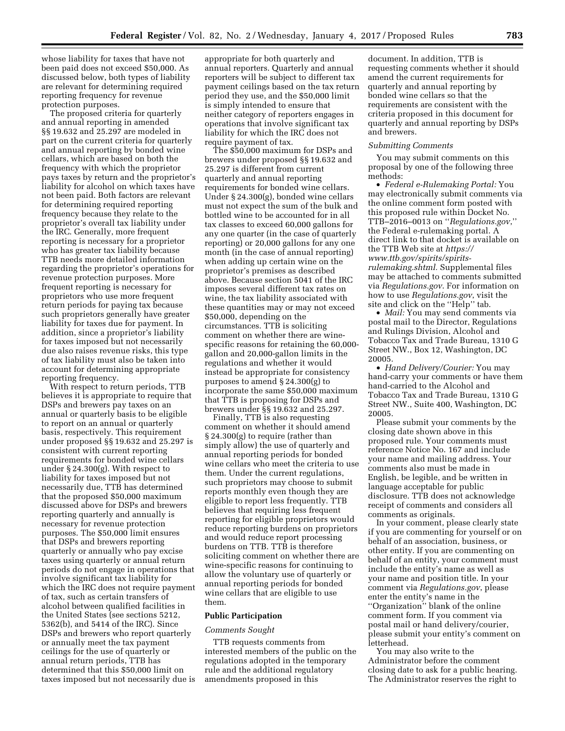whose liability for taxes that have not been paid does not exceed \$50,000. As discussed below, both types of liability are relevant for determining required reporting frequency for revenue protection purposes.

The proposed criteria for quarterly and annual reporting in amended §§ 19.632 and 25.297 are modeled in part on the current criteria for quarterly and annual reporting by bonded wine cellars, which are based on both the frequency with which the proprietor pays taxes by return and the proprietor's liability for alcohol on which taxes have not been paid. Both factors are relevant for determining required reporting frequency because they relate to the proprietor's overall tax liability under the IRC. Generally, more frequent reporting is necessary for a proprietor who has greater tax liability because TTB needs more detailed information regarding the proprietor's operations for revenue protection purposes. More frequent reporting is necessary for proprietors who use more frequent return periods for paying tax because such proprietors generally have greater liability for taxes due for payment. In addition, since a proprietor's liability for taxes imposed but not necessarily due also raises revenue risks, this type of tax liability must also be taken into account for determining appropriate reporting frequency.

With respect to return periods, TTB believes it is appropriate to require that DSPs and brewers pay taxes on an annual or quarterly basis to be eligible to report on an annual or quarterly basis, respectively. This requirement under proposed §§ 19.632 and 25.297 is consistent with current reporting requirements for bonded wine cellars under § 24.300(g). With respect to liability for taxes imposed but not necessarily due, TTB has determined that the proposed \$50,000 maximum discussed above for DSPs and brewers reporting quarterly and annually is necessary for revenue protection purposes. The \$50,000 limit ensures that DSPs and brewers reporting quarterly or annually who pay excise taxes using quarterly or annual return periods do not engage in operations that involve significant tax liability for which the IRC does not require payment of tax, such as certain transfers of alcohol between qualified facilities in the United States (see sections 5212, 5362(b), and 5414 of the IRC). Since DSPs and brewers who report quarterly or annually meet the tax payment ceilings for the use of quarterly or annual return periods, TTB has determined that this \$50,000 limit on taxes imposed but not necessarily due is

appropriate for both quarterly and annual reporters. Quarterly and annual reporters will be subject to different tax payment ceilings based on the tax return period they use, and the \$50,000 limit is simply intended to ensure that neither category of reporters engages in operations that involve significant tax liability for which the IRC does not require payment of tax.

The \$50,000 maximum for DSPs and brewers under proposed §§ 19.632 and 25.297 is different from current quarterly and annual reporting requirements for bonded wine cellars. Under § 24.300(g), bonded wine cellars must not expect the sum of the bulk and bottled wine to be accounted for in all tax classes to exceed 60,000 gallons for any one quarter (in the case of quarterly reporting) or 20,000 gallons for any one month (in the case of annual reporting) when adding up certain wine on the proprietor's premises as described above. Because section 5041 of the IRC imposes several different tax rates on wine, the tax liability associated with these quantities may or may not exceed \$50,000, depending on the circumstances. TTB is soliciting comment on whether there are winespecific reasons for retaining the 60,000 gallon and 20,000-gallon limits in the regulations and whether it would instead be appropriate for consistency purposes to amend § 24.300(g) to incorporate the same \$50,000 maximum that TTB is proposing for DSPs and brewers under §§ 19.632 and 25.297.

Finally, TTB is also requesting comment on whether it should amend § 24.300(g) to require (rather than simply allow) the use of quarterly and annual reporting periods for bonded wine cellars who meet the criteria to use them. Under the current regulations, such proprietors may choose to submit reports monthly even though they are eligible to report less frequently. TTB believes that requiring less frequent reporting for eligible proprietors would reduce reporting burdens on proprietors and would reduce report processing burdens on TTB. TTB is therefore soliciting comment on whether there are wine-specific reasons for continuing to allow the voluntary use of quarterly or annual reporting periods for bonded wine cellars that are eligible to use them.

## **Public Participation**

#### *Comments Sought*

TTB requests comments from interested members of the public on the regulations adopted in the temporary rule and the additional regulatory amendments proposed in this

document. In addition, TTB is requesting comments whether it should amend the current requirements for quarterly and annual reporting by bonded wine cellars so that the requirements are consistent with the criteria proposed in this document for quarterly and annual reporting by DSPs and brewers.

#### *Submitting Comments*

You may submit comments on this proposal by one of the following three methods:

• *Federal e-Rulemaking Portal:* You may electronically submit comments via the online comment form posted with this proposed rule within Docket No. TTB–2016–0013 on ''*Regulations.gov*,'' the Federal e-rulemaking portal. A direct link to that docket is available on the TTB Web site at *[https://](https://www.ttb.gov/spirits/spirits-rulemaking.shtml) [www.ttb.gov/spirits/spirits](https://www.ttb.gov/spirits/spirits-rulemaking.shtml)[rulemaking.shtml.](https://www.ttb.gov/spirits/spirits-rulemaking.shtml)* Supplemental files may be attached to comments submitted via *Regulations.gov*. For information on how to use *Regulations.gov*, visit the site and click on the ''Help'' tab.

• *Mail:* You may send comments via postal mail to the Director, Regulations and Rulings Division, Alcohol and Tobacco Tax and Trade Bureau, 1310 G Street NW., Box 12, Washington, DC 20005.

• *Hand Delivery/Courier:* You may hand-carry your comments or have them hand-carried to the Alcohol and Tobacco Tax and Trade Bureau, 1310 G Street NW., Suite 400, Washington, DC 20005.

Please submit your comments by the closing date shown above in this proposed rule. Your comments must reference Notice No. 167 and include your name and mailing address. Your comments also must be made in English, be legible, and be written in language acceptable for public disclosure. TTB does not acknowledge receipt of comments and considers all comments as originals.

In your comment, please clearly state if you are commenting for yourself or on behalf of an association, business, or other entity. If you are commenting on behalf of an entity, your comment must include the entity's name as well as your name and position title. In your comment via *Regulations.gov*, please enter the entity's name in the ''Organization'' blank of the online comment form. If you comment via postal mail or hand delivery/courier, please submit your entity's comment on letterhead.

You may also write to the Administrator before the comment closing date to ask for a public hearing. The Administrator reserves the right to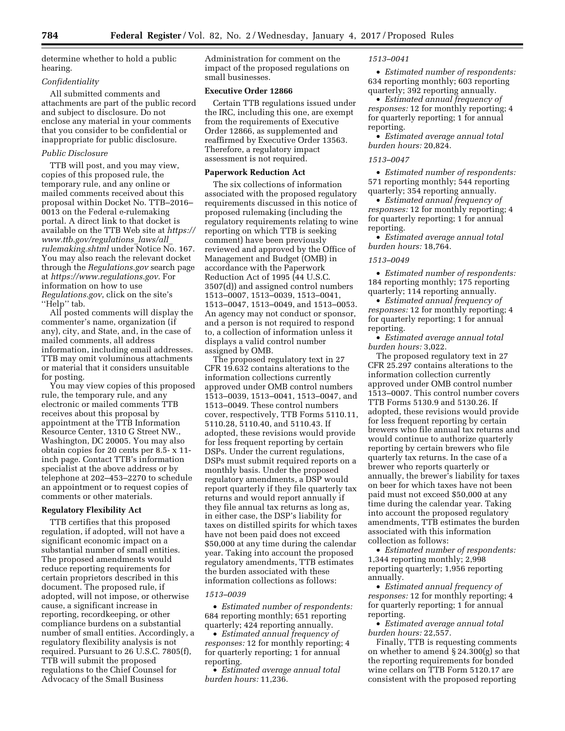determine whether to hold a public hearing.

# *Confidentiality*

All submitted comments and attachments are part of the public record and subject to disclosure. Do not enclose any material in your comments that you consider to be confidential or inappropriate for public disclosure.

## *Public Disclosure*

TTB will post, and you may view, copies of this proposed rule, the temporary rule, and any online or mailed comments received about this proposal within Docket No. TTB–2016– 0013 on the Federal e-rulemaking portal. A direct link to that docket is available on the TTB Web site at *[https://](https://www.ttb.gov/regulations_laws/all_rulemaking.shtml)  [www.ttb.gov/regulations](https://www.ttb.gov/regulations_laws/all_rulemaking.shtml)*\_*laws/all*\_ *[rulemaking.shtml](https://www.ttb.gov/regulations_laws/all_rulemaking.shtml)* under Notice No. 167. You may also reach the relevant docket through the *Regulations.gov* search page at *[https://www.regulations.gov.](https://www.regulations.gov)* For information on how to use *Regulations.gov*, click on the site's "Help" tab.

All posted comments will display the commenter's name, organization (if any), city, and State, and, in the case of mailed comments, all address information, including email addresses. TTB may omit voluminous attachments or material that it considers unsuitable for posting.

You may view copies of this proposed rule, the temporary rule, and any electronic or mailed comments TTB receives about this proposal by appointment at the TTB Information Resource Center, 1310 G Street NW., Washington, DC 20005. You may also obtain copies for 20 cents per 8.5- x 11 inch page. Contact TTB's information specialist at the above address or by telephone at 202–453–2270 to schedule an appointment or to request copies of comments or other materials.

#### **Regulatory Flexibility Act**

TTB certifies that this proposed regulation, if adopted, will not have a significant economic impact on a substantial number of small entities. The proposed amendments would reduce reporting requirements for certain proprietors described in this document. The proposed rule, if adopted, will not impose, or otherwise cause, a significant increase in reporting, recordkeeping, or other compliance burdens on a substantial number of small entities. Accordingly, a regulatory flexibility analysis is not required. Pursuant to 26 U.S.C. 7805(f), TTB will submit the proposed regulations to the Chief Counsel for Advocacy of the Small Business

Administration for comment on the impact of the proposed regulations on small businesses.

# **Executive Order 12866**

Certain TTB regulations issued under the IRC, including this one, are exempt from the requirements of Executive Order 12866, as supplemented and reaffirmed by Executive Order 13563. Therefore, a regulatory impact assessment is not required.

#### **Paperwork Reduction Act**

The six collections of information associated with the proposed regulatory requirements discussed in this notice of proposed rulemaking (including the regulatory requirements relating to wine reporting on which TTB is seeking comment) have been previously reviewed and approved by the Office of Management and Budget (OMB) in accordance with the Paperwork Reduction Act of 1995 (44 U.S.C. 3507(d)) and assigned control numbers 1513–0007, 1513–0039, 1513–0041, 1513–0047, 1513–0049, and 1513–0053. An agency may not conduct or sponsor, and a person is not required to respond to, a collection of information unless it displays a valid control number assigned by OMB.

The proposed regulatory text in 27 CFR 19.632 contains alterations to the information collections currently approved under OMB control numbers 1513–0039, 1513–0041, 1513–0047, and 1513–0049. These control numbers cover, respectively, TTB Forms 5110.11, 5110.28, 5110.40, and 5110.43. If adopted, these revisions would provide for less frequent reporting by certain DSPs. Under the current regulations, DSPs must submit required reports on a monthly basis. Under the proposed regulatory amendments, a DSP would report quarterly if they file quarterly tax returns and would report annually if they file annual tax returns as long as, in either case, the DSP's liability for taxes on distilled spirits for which taxes have not been paid does not exceed \$50,000 at any time during the calendar year. Taking into account the proposed regulatory amendments, TTB estimates the burden associated with these information collections as follows:

#### *1513–0039*

• *Estimated number of respondents:*  684 reporting monthly; 651 reporting quarterly; 424 reporting annually.

• *Estimated annual frequency of responses:* 12 for monthly reporting; 4 for quarterly reporting; 1 for annual reporting.

• *Estimated average annual total burden hours:* 11,236.

#### *1513–0041*

• *Estimated number of respondents:*  634 reporting monthly; 603 reporting quarterly; 392 reporting annually.

• *Estimated annual frequency of responses:* 12 for monthly reporting; 4 for quarterly reporting; 1 for annual reporting.

• *Estimated average annual total burden hours:* 20,824.

## *1513–0047*

• *Estimated number of respondents:*  571 reporting monthly; 544 reporting quarterly; 354 reporting annually.

• *Estimated annual frequency of responses:* 12 for monthly reporting; 4 for quarterly reporting; 1 for annual reporting.

• *Estimated average annual total burden hours:* 18,764.

#### *1513–0049*

• *Estimated number of respondents:*  184 reporting monthly; 175 reporting quarterly; 114 reporting annually.

• *Estimated annual frequency of responses:* 12 for monthly reporting; 4 for quarterly reporting; 1 for annual reporting.

• *Estimated average annual total burden hours:* 3,022.

The proposed regulatory text in 27 CFR 25.297 contains alterations to the information collection currently approved under OMB control number 1513–0007. This control number covers TTB Forms 5130.9 and 5130.26. If adopted, these revisions would provide for less frequent reporting by certain brewers who file annual tax returns and would continue to authorize quarterly reporting by certain brewers who file quarterly tax returns. In the case of a brewer who reports quarterly or annually, the brewer's liability for taxes on beer for which taxes have not been paid must not exceed \$50,000 at any time during the calendar year. Taking into account the proposed regulatory amendments, TTB estimates the burden associated with this information collection as follows:

• *Estimated number of respondents:*  1,344 reporting monthly; 2,998 reporting quarterly; 1,956 reporting annually.

• *Estimated annual frequency of responses:* 12 for monthly reporting; 4 for quarterly reporting; 1 for annual reporting.

• *Estimated average annual total burden hours:* 22,557.

Finally, TTB is requesting comments on whether to amend § 24.300(g) so that the reporting requirements for bonded wine cellars on TTB Form 5120.17 are consistent with the proposed reporting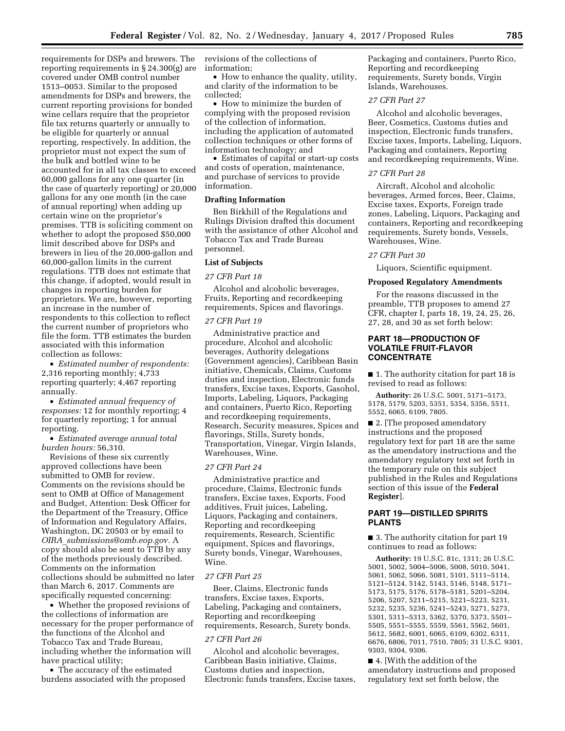requirements for DSPs and brewers. The reporting requirements in § 24.300(g) are covered under OMB control number 1513–0053. Similar to the proposed amendments for DSPs and brewers, the current reporting provisions for bonded wine cellars require that the proprietor file tax returns quarterly or annually to be eligible for quarterly or annual reporting, respectively. In addition, the proprietor must not expect the sum of the bulk and bottled wine to be accounted for in all tax classes to exceed 60,000 gallons for any one quarter (in the case of quarterly reporting) or 20,000 gallons for any one month (in the case of annual reporting) when adding up certain wine on the proprietor's premises. TTB is soliciting comment on whether to adopt the proposed \$50,000 limit described above for DSPs and brewers in lieu of the 20,000-gallon and 60,000-gallon limits in the current regulations. TTB does not estimate that this change, if adopted, would result in changes in reporting burden for proprietors. We are, however, reporting an increase in the number of respondents to this collection to reflect the current number of proprietors who file the form. TTB estimates the burden associated with this information collection as follows:

• *Estimated number of respondents:*  2,316 reporting monthly; 4,733 reporting quarterly; 4,467 reporting annually.

• *Estimated annual frequency of responses:* 12 for monthly reporting; 4 for quarterly reporting; 1 for annual reporting.

• *Estimated average annual total burden hours:* 56,310.

Revisions of these six currently approved collections have been submitted to OMB for review. Comments on the revisions should be sent to OMB at Office of Management and Budget, Attention: Desk Officer for the Department of the Treasury, Office of Information and Regulatory Affairs, Washington, DC 20503 or by email to *OIRA*\_*[submissions@omb.eop.gov.](mailto:OIRA_submissions@omb.eop.gov)* A copy should also be sent to TTB by any of the methods previously described. Comments on the information collections should be submitted no later than March 6, 2017. Comments are specifically requested concerning:

• Whether the proposed revisions of the collections of information are necessary for the proper performance of the functions of the Alcohol and Tobacco Tax and Trade Bureau, including whether the information will have practical utility;

• The accuracy of the estimated burdens associated with the proposed revisions of the collections of information;

• How to enhance the quality, utility, and clarity of the information to be collected;

• How to minimize the burden of complying with the proposed revision of the collection of information, including the application of automated collection techniques or other forms of information technology; and

• Estimates of capital or start-up costs and costs of operation, maintenance, and purchase of services to provide information.

### **Drafting Information**

Ben Birkhill of the Regulations and Rulings Division drafted this document with the assistance of other Alcohol and Tobacco Tax and Trade Bureau personnel.

#### **List of Subjects**

#### *27 CFR Part 18*

Alcohol and alcoholic beverages, Fruits, Reporting and recordkeeping requirements, Spices and flavorings.

## *27 CFR Part 19*

Administrative practice and procedure, Alcohol and alcoholic beverages, Authority delegations (Government agencies), Caribbean Basin initiative, Chemicals, Claims, Customs duties and inspection, Electronic funds transfers, Excise taxes, Exports, Gasohol, Imports, Labeling, Liquors, Packaging and containers, Puerto Rico, Reporting and recordkeeping requirements, Research, Security measures, Spices and flavorings, Stills, Surety bonds, Transportation, Vinegar, Virgin Islands, Warehouses, Wine.

#### *27 CFR Part 24*

Administrative practice and procedure, Claims, Electronic funds transfers, Excise taxes, Exports, Food additives, Fruit juices, Labeling, Liquors, Packaging and containers, Reporting and recordkeeping requirements, Research, Scientific equipment, Spices and flavorings, Surety bonds, Vinegar, Warehouses, Wine.

# *27 CFR Part 25*

Beer, Claims, Electronic funds transfers, Excise taxes, Exports, Labeling, Packaging and containers, Reporting and recordkeeping requirements, Research, Surety bonds.

#### *27 CFR Part 26*

Alcohol and alcoholic beverages, Caribbean Basin initiative, Claims, Customs duties and inspection, Electronic funds transfers, Excise taxes, Packaging and containers, Puerto Rico, Reporting and recordkeeping requirements, Surety bonds, Virgin Islands, Warehouses.

# *27 CFR Part 27*

Alcohol and alcoholic beverages, Beer, Cosmetics, Customs duties and inspection, Electronic funds transfers, Excise taxes, Imports, Labeling, Liquors, Packaging and containers, Reporting and recordkeeping requirements, Wine.

#### *27 CFR Part 28*

Aircraft, Alcohol and alcoholic beverages, Armed forces, Beer, Claims, Excise taxes, Exports, Foreign trade zones, Labeling, Liquors, Packaging and containers, Reporting and recordkeeping requirements, Surety bonds, Vessels, Warehouses, Wine.

#### *27 CFR Part 30*

Liquors, Scientific equipment.

#### **Proposed Regulatory Amendments**

For the reasons discussed in the preamble, TTB proposes to amend 27 CFR, chapter I, parts 18, 19, 24, 25, 26, 27, 28, and 30 as set forth below:

# **PART 18—PRODUCTION OF VOLATILE FRUIT-FLAVOR CONCENTRATE**

■ 1. The authority citation for part 18 is revised to read as follows:

**Authority:** 26 U.S.C. 5001, 5171–5173, 5178, 5179, 5203, 5351, 5354, 5356, 5511, 5552, 6065, 6109, 7805.

■ 2. The proposed amendatory instructions and the proposed regulatory text for part 18 are the same as the amendatory instructions and the amendatory regulatory text set forth in the temporary rule on this subject published in the Rules and Regulations section of this issue of the **Federal Register**].

# **PART 19—DISTILLED SPIRITS PLANTS**

■ 3. The authority citation for part 19 continues to read as follows:

**Authority:** 19 U.S.C. 81c, 1311; 26 U.S.C. 5001, 5002, 5004–5006, 5008, 5010, 5041, 5061, 5062, 5066, 5081, 5101, 5111–5114, 5121–5124, 5142, 5143, 5146, 5148, 5171– 5173, 5175, 5176, 5178–5181, 5201–5204, 5206, 5207, 5211–5215, 5221–5223, 5231, 5232, 5235, 5236, 5241–5243, 5271, 5273, 5301, 5311–5313, 5362, 5370, 5373, 5501– 5505, 5551–5555, 5559, 5561, 5562, 5601, 5612, 5682, 6001, 6065, 6109, 6302, 6311, 6676, 6806, 7011, 7510, 7805; 31 U.S.C. 9301, 9303, 9304, 9306.

■ 4. [With the addition of the amendatory instructions and proposed regulatory text set forth below, the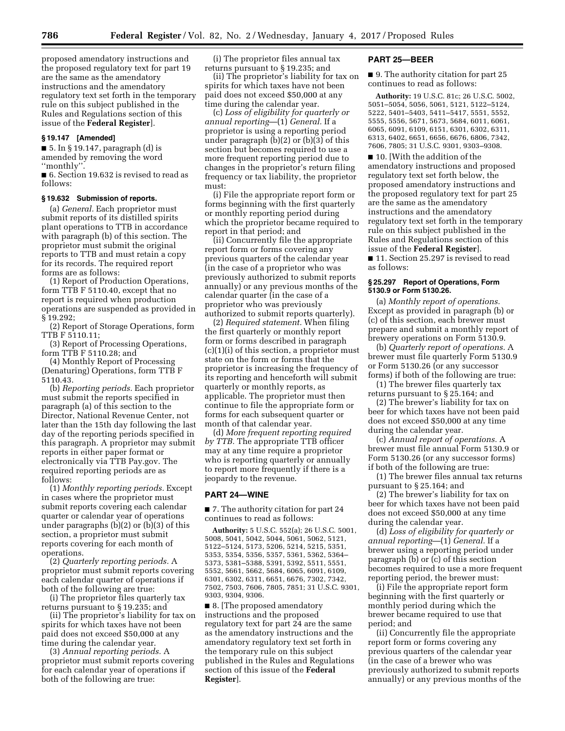proposed amendatory instructions and the proposed regulatory text for part 19 are the same as the amendatory instructions and the amendatory regulatory text set forth in the temporary rule on this subject published in the Rules and Regulations section of this issue of the **Federal Register**].

#### **§ 19.147 [Amended]**

■ 5. In § 19.147, paragraph (d) is amended by removing the word ''monthly''.

■ 6. Section 19.632 is revised to read as follows:

#### **§ 19.632 Submission of reports.**

(a) *General.* Each proprietor must submit reports of its distilled spirits plant operations to TTB in accordance with paragraph (b) of this section. The proprietor must submit the original reports to TTB and must retain a copy for its records. The required report forms are as follows:

(1) Report of Production Operations, form TTB F 5110.40, except that no report is required when production operations are suspended as provided in § 19.292;

(2) Report of Storage Operations, form TTB F 5110.11;

(3) Report of Processing Operations, form TTB F 5110.28; and

(4) Monthly Report of Processing (Denaturing) Operations, form TTB F 5110.43.

(b) *Reporting periods.* Each proprietor must submit the reports specified in paragraph (a) of this section to the Director, National Revenue Center, not later than the 15th day following the last day of the reporting periods specified in this paragraph. A proprietor may submit reports in either paper format or electronically via TTB Pay.gov. The required reporting periods are as follows:

(1) *Monthly reporting periods.* Except in cases where the proprietor must submit reports covering each calendar quarter or calendar year of operations under paragraphs (b)(2) or (b)(3) of this section, a proprietor must submit reports covering for each month of operations.

(2) *Quarterly reporting periods.* A proprietor must submit reports covering each calendar quarter of operations if both of the following are true:

(i) The proprietor files quarterly tax returns pursuant to § 19.235; and

(ii) The proprietor's liability for tax on spirits for which taxes have not been paid does not exceed \$50,000 at any time during the calendar year.

(3) *Annual reporting periods.* A proprietor must submit reports covering for each calendar year of operations if both of the following are true:

(i) The proprietor files annual tax returns pursuant to § 19.235; and

(ii) The proprietor's liability for tax on spirits for which taxes have not been paid does not exceed \$50,000 at any time during the calendar year.

(c) *Loss of eligibility for quarterly or annual reporting*—(1) *General.* If a proprietor is using a reporting period under paragraph (b)(2) or (b)(3) of this section but becomes required to use a more frequent reporting period due to changes in the proprietor's return filing frequency or tax liability, the proprietor must:

(i) File the appropriate report form or forms beginning with the first quarterly or monthly reporting period during which the proprietor became required to report in that period; and

(ii) Concurrently file the appropriate report form or forms covering any previous quarters of the calendar year (in the case of a proprietor who was previously authorized to submit reports annually) or any previous months of the calendar quarter (in the case of a proprietor who was previously authorized to submit reports quarterly).

(2) *Required statement.* When filing the first quarterly or monthly report form or forms described in paragraph (c)(1)(i) of this section, a proprietor must state on the form or forms that the proprietor is increasing the frequency of its reporting and henceforth will submit quarterly or monthly reports, as applicable. The proprietor must then continue to file the appropriate form or forms for each subsequent quarter or month of that calendar year.

(d) *More frequent reporting required by TTB.* The appropriate TTB officer may at any time require a proprietor who is reporting quarterly or annually to report more frequently if there is a jeopardy to the revenue.

#### **PART 24—WINE**

■ 7. The authority citation for part 24 continues to read as follows:

**Authority:** 5 U.S.C. 552(a); 26 U.S.C. 5001, 5008, 5041, 5042, 5044, 5061, 5062, 5121, 5122–5124, 5173, 5206, 5214, 5215, 5351, 5353, 5354, 5356, 5357, 5361, 5362, 5364– 5373, 5381–5388, 5391, 5392, 5511, 5551, 5552, 5661, 5662, 5684, 6065, 6091, 6109, 6301, 6302, 6311, 6651, 6676, 7302, 7342, 7502, 7503, 7606, 7805, 7851; 31 U.S.C. 9301, 9303, 9304, 9306.

■ 8. The proposed amendatory instructions and the proposed regulatory text for part 24 are the same as the amendatory instructions and the amendatory regulatory text set forth in the temporary rule on this subject published in the Rules and Regulations section of this issue of the **Federal Register**].

# **PART 25—BEER**

■ 9. The authority citation for part 25 continues to read as follows:

**Authority:** 19 U.S.C. 81c; 26 U.S.C. 5002, 5051–5054, 5056, 5061, 5121, 5122–5124, 5222, 5401–5403, 5411–5417, 5551, 5552, 5555, 5556, 5671, 5673, 5684, 6011, 6061, 6065, 6091, 6109, 6151, 6301, 6302, 6311, 6313, 6402, 6651, 6656, 6676, 6806, 7342, 7606, 7805; 31 U.S.C. 9301, 9303–9308.

■ 10. With the addition of the amendatory instructions and proposed regulatory text set forth below, the proposed amendatory instructions and the proposed regulatory text for part 25 are the same as the amendatory instructions and the amendatory regulatory text set forth in the temporary rule on this subject published in the Rules and Regulations section of this issue of the **Federal Register**].

■ 11. Section 25.297 is revised to read as follows:

## **§ 25.297 Report of Operations, Form 5130.9 or Form 5130.26.**

(a) *Monthly report of operations.*  Except as provided in paragraph (b) or (c) of this section, each brewer must prepare and submit a monthly report of brewery operations on Form 5130.9.

(b) *Quarterly report of operations.* A brewer must file quarterly Form 5130.9 or Form 5130.26 (or any successor forms) if both of the following are true:

(1) The brewer files quarterly tax returns pursuant to § 25.164; and

(2) The brewer's liability for tax on beer for which taxes have not been paid does not exceed \$50,000 at any time during the calendar year.

(c) *Annual report of operations.* A brewer must file annual Form 5130.9 or Form 5130.26 (or any successor forms) if both of the following are true:

(1) The brewer files annual tax returns pursuant to § 25.164; and

(2) The brewer's liability for tax on beer for which taxes have not been paid does not exceed \$50,000 at any time during the calendar year.

(d) *Loss of eligibility for quarterly or annual reporting*—(1) *General.* If a brewer using a reporting period under paragraph (b) or (c) of this section becomes required to use a more frequent reporting period, the brewer must:

(i) File the appropriate report form beginning with the first quarterly or monthly period during which the brewer became required to use that period; and

(ii) Concurrently file the appropriate report form or forms covering any previous quarters of the calendar year (in the case of a brewer who was previously authorized to submit reports annually) or any previous months of the